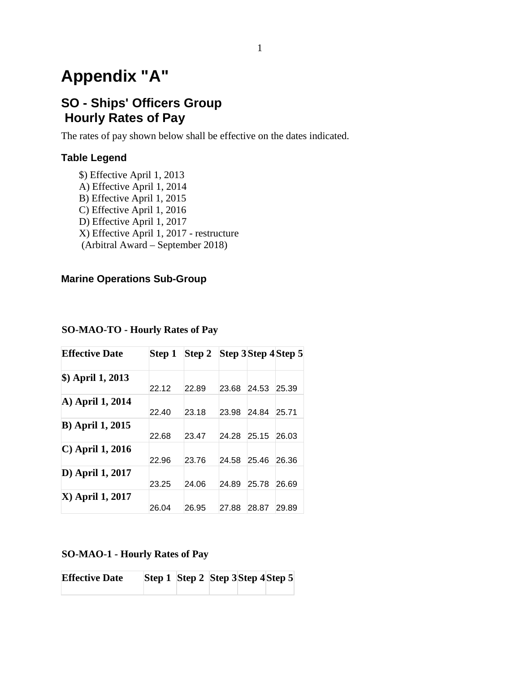# **Appendix "A"**

# **SO - Ships' Officers Group Hourly Rates of Pay**

The rates of pay shown below shall be effective on the dates indicated.

### **Table Legend**

\$) Effective April 1, 2013 A) Effective April 1, 2014 B) Effective April 1, 2015 C) Effective April 1, 2016 D) Effective April 1, 2017 X) Effective April 1, 2017 - restructure (Arbitral Award – September 2018)

### **Marine Operations Sub-Group**

| <b>Effective Date</b>       | Step 1 | Step 2 Step 3 Step 4 Step 5 |       |       |       |
|-----------------------------|--------|-----------------------------|-------|-------|-------|
| \$) April 1, 2013           | 22.12  | 22.89                       | 23.68 | 24.53 | 25.39 |
| A) April 1, 2014            | 22.40  | 23.18                       | 23.98 | 24.84 | 25.71 |
| <b>B</b> ) April 1, 2015    | 22.68  | 23.47                       | 24.28 | 25.15 | 26.03 |
| $\mathbf C$ ) April 1, 2016 | 22.96  | 23.76                       | 24.58 | 25.46 | 26.36 |
| D) April 1, 2017            | 23.25  | 24.06                       | 24.89 | 25.78 | 26.69 |
| <b>X</b> ) April 1, 2017    | 26.04  | 26.95                       | 27.88 | 28.87 | 29.89 |

#### **SO-MAO-TO - Hourly Rates of Pay**

### **SO-MAO-1 - Hourly Rates of Pay**

| <b>Effective Date</b> | Step 1 Step 2 Step 3 Step 4 Step 5 |  |  |  |
|-----------------------|------------------------------------|--|--|--|
|                       |                                    |  |  |  |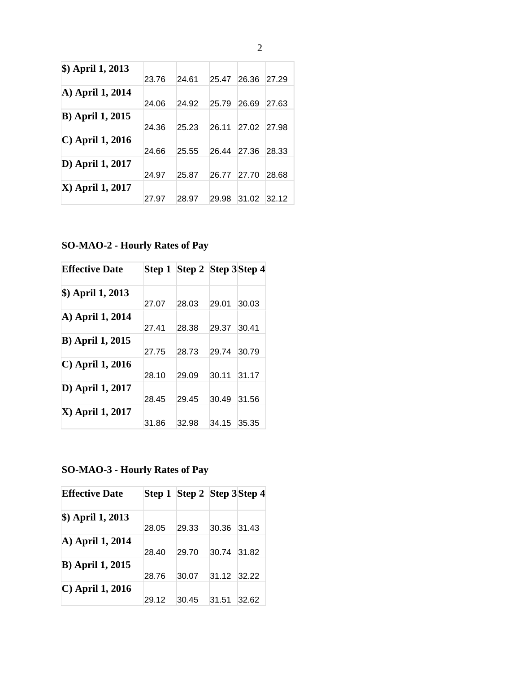| \$) April 1, 2013        | 23.76 | 24.61 | 25.47 | 26.36 | 27.29 |
|--------------------------|-------|-------|-------|-------|-------|
| A) April 1, 2014         | 24.06 | 24.92 | 25.79 | 26.69 | 27.63 |
| <b>B</b> ) April 1, 2015 | 24.36 | 25.23 | 26.11 | 27.02 | 27.98 |
| $\vert$ C) April 1, 2016 | 24.66 | 25.55 | 26.44 | 27.36 | 28.33 |
| D) April 1, 2017         | 24.97 | 25.87 | 26.77 | 27.70 | 28.68 |
| <b>X</b> ) April 1, 2017 | 27.97 | 28.97 | 29.98 | 31.02 | 32.12 |

**SO-MAO-2 - Hourly Rates of Pay**

| <b>Effective Date</b>       |       | Step 1 Step 2 Step 3 Step 4 |       |       |
|-----------------------------|-------|-----------------------------|-------|-------|
| \$) April 1, 2013           |       |                             |       |       |
|                             | 27.07 | 28.03                       | 29.01 | 30.03 |
| A) April 1, 2014            |       |                             |       |       |
|                             | 27.41 | 28.38                       | 29.37 | 30.41 |
| <b>B</b> ) April 1, 2015    |       |                             |       |       |
|                             | 27.75 | 28.73                       | 29.74 | 30.79 |
| $\mathbf C$ ) April 1, 2016 |       |                             |       |       |
|                             | 28.10 | 29.09                       | 30.11 | 31.17 |
| D) April 1, 2017            |       |                             |       |       |
|                             | 28.45 | 29.45                       | 30.49 | 31.56 |
| <b>X</b> ) April 1, 2017    |       |                             |       |       |
|                             | 31.86 | 32.98                       | 34.15 | 35.35 |

# **SO-MAO-3 - Hourly Rates of Pay**

| <b>Effective Date</b>    |       | Step 1 Step 2 Step 3 Step 4 |             |       |
|--------------------------|-------|-----------------------------|-------------|-------|
| \$) April 1, 2013        |       |                             |             |       |
|                          | 28.05 | 29.33                       | 30.36       | 31.43 |
| A) April 1, 2014         |       |                             |             |       |
|                          | 28.40 | 29.70                       | 30.74       | 31.82 |
| <b>B</b> ) April 1, 2015 |       |                             |             |       |
|                          | 28.76 | 30.07                       | 31.12 32.22 |       |
| $\vert$ C) April 1, 2016 |       |                             |             |       |
|                          | 29.12 | 30.45                       | 31.51       | 32.62 |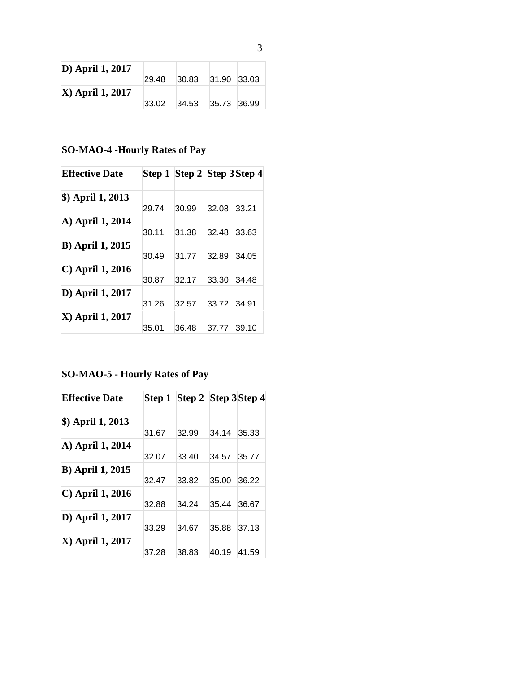| <b>D</b> ) April 1, 2017 |       |       |             |  |
|--------------------------|-------|-------|-------------|--|
|                          | 29.48 | 30.83 | 31.90 33.03 |  |
| <b>X</b> ) April 1, 2017 |       |       |             |  |
|                          | 33.02 | 34.53 | 35.73 36.99 |  |

## **SO-MAO-4 -Hourly Rates of Pay**

| <b>Effective Date</b>    |       | Step 1 Step 2 Step 3 Step 4 |       |       |
|--------------------------|-------|-----------------------------|-------|-------|
| \$) April 1, 2013        |       |                             |       |       |
|                          | 29.74 | 30.99                       | 32.08 | 33.21 |
| A) April 1, 2014         |       |                             |       |       |
|                          | 30.11 | 31.38                       | 32.48 | 33.63 |
| <b>B</b> ) April 1, 2015 |       |                             |       |       |
|                          | 30.49 | 31.77                       | 32.89 | 34.05 |
| C) April 1, 2016         |       |                             |       |       |
|                          | 30.87 | 32.17                       | 33.30 | 34.48 |
| D) April 1, 2017         |       |                             |       |       |
|                          | 31.26 | 32.57                       | 33.72 | 34.91 |
| X) April 1, 2017         |       |                             |       |       |
|                          | 35.01 | 36.48                       | 37.77 | 39.10 |

## **SO-MAO-5 - Hourly Rates of Pay**

| <b>Effective Date</b>    |       | Step 1 Step 2 Step 3 Step 4 |       |       |
|--------------------------|-------|-----------------------------|-------|-------|
| \$) April 1, 2013        |       |                             |       |       |
|                          | 31.67 | 32.99                       | 34.14 | 35.33 |
| A) April 1, 2014         |       |                             |       |       |
|                          | 32.07 | 33.40                       | 34.57 | 35.77 |
| <b>B</b> ) April 1, 2015 |       |                             |       |       |
|                          | 32.47 | 33.82                       | 35.00 | 36.22 |
| $(C)$ April 1, 2016      |       |                             |       |       |
|                          | 32.88 | 34.24                       | 35.44 | 36.67 |
| D) April 1, 2017         |       |                             |       |       |
|                          | 33.29 | 34.67                       | 35.88 | 37.13 |
| X) April 1, 2017         |       |                             |       |       |
|                          | 37.28 | 38.83                       | 40.19 | 41.59 |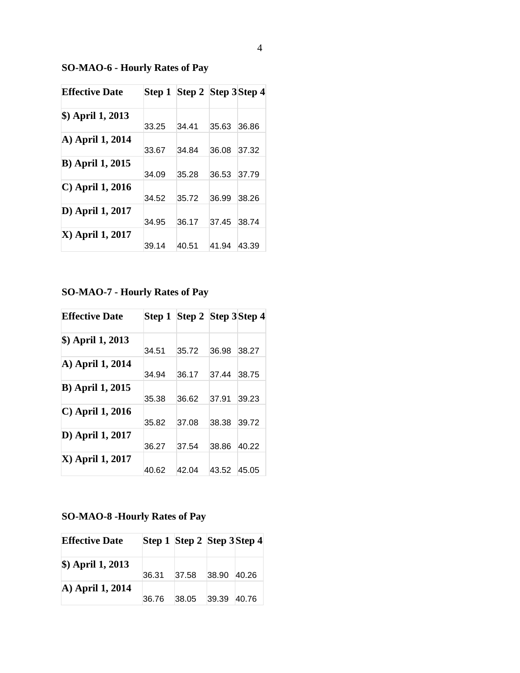**SO-MAO-6 - Hourly Rates of Pay**

| <b>Effective Date</b>       |       | Step 1 Step 2 Step 3 Step 4 |       |       |
|-----------------------------|-------|-----------------------------|-------|-------|
| \$) April 1, 2013           | 33.25 | 34.41                       | 35.63 | 36.86 |
| A) April 1, 2014            | 33.67 | 34.84                       | 36.08 | 37.32 |
| <b>B</b> ) April 1, 2015    | 34.09 | 35.28                       | 36.53 | 37.79 |
| $\mathbf C$ ) April 1, 2016 | 34.52 | 35.72                       | 36.99 | 38.26 |
| D) April 1, 2017            | 34.95 | 36.17                       | 37.45 | 38.74 |
| <b>X</b> ) April 1, 2017    | 39.14 | 40.51                       | 41.94 | 43.39 |

# **SO-MAO-7 - Hourly Rates of Pay**

| <b>Effective Date</b>       |       | Step 1 Step 2 Step 3 Step 4 |       |       |
|-----------------------------|-------|-----------------------------|-------|-------|
| \$) April 1, 2013           |       |                             |       |       |
|                             | 34.51 | 35.72                       | 36.98 | 38.27 |
| A) April 1, 2014            |       |                             |       |       |
|                             | 34.94 | 36.17                       | 37.44 | 38.75 |
| <b>B</b> ) April 1, 2015    |       |                             |       |       |
|                             | 35.38 | 36.62                       | 37.91 | 39.23 |
| $\mathbf C$ ) April 1, 2016 |       |                             |       |       |
|                             | 35.82 | 37.08                       | 38.38 | 39.72 |
| D) April 1, 2017            |       |                             |       |       |
|                             | 36.27 | 37.54                       | 38.86 | 40.22 |
| <b>X</b> ) April 1, 2017    |       |                             |       |       |
|                             | 40.62 | 42.04                       | 43.52 | 45.05 |

# **SO-MAO-8 -Hourly Rates of Pay**

| <b>Effective Date</b>  |       | Step 1 Step 2 Step 3 Step 4 |       |       |
|------------------------|-------|-----------------------------|-------|-------|
| $\angle$ April 1, 2013 |       |                             |       |       |
| A) April 1, 2014       | 36.31 | 37.58                       | 38.90 | 40.26 |
|                        | 36.76 | 38.05                       | 39.39 | 40.76 |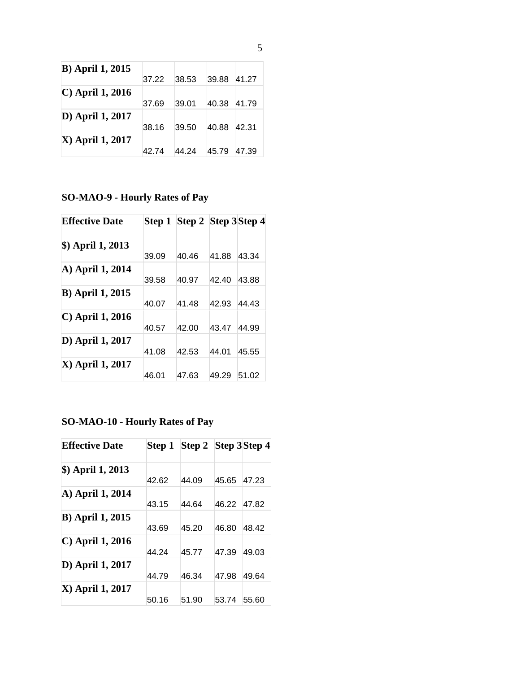| <b>B</b> ) April 1, 2015  |       |       |       |       |
|---------------------------|-------|-------|-------|-------|
|                           | 37.22 | 38.53 | 39.88 | 41.27 |
| $\mathbf C$ April 1, 2016 |       |       |       |       |
|                           | 37.69 | 39.01 | 40.38 | 41.79 |
| D) April 1, 2017          |       |       |       |       |
|                           | 38.16 | 39.50 | 40.88 | 42.31 |
| <b>X</b> ) April 1, 2017  |       |       |       |       |
|                           | 42.74 | 44.24 | 45.79 | 47.39 |

**SO-MAO-9 - Hourly Rates of Pay**

| <b>Effective Date</b>    |       | Step 1 Step 2 Step 3 Step 4 |       |       |
|--------------------------|-------|-----------------------------|-------|-------|
| \$) April 1, 2013        | 39.09 | 40.46                       | 41.88 | 43.34 |
| A) April 1, 2014         | 39.58 | 40.97                       | 42.40 | 43.88 |
| <b>B</b> ) April 1, 2015 | 40.07 | 41.48                       | 42.93 | 44.43 |
| C) April 1, 2016         | 40.57 | 42.00                       | 43.47 | 44.99 |
| D) April 1, 2017         | 41.08 | 42.53                       | 44.01 | 45.55 |
| <b>X</b> ) April 1, 2017 | 46.01 | 47.63                       | 49.29 | 51.02 |

# **SO-MAO-10 - Hourly Rates of Pay**

| <b>Effective Date</b>    |       | Step 1 Step 2 Step 3 Step 4 |       |       |
|--------------------------|-------|-----------------------------|-------|-------|
| \$) April 1, 2013        |       |                             |       |       |
|                          | 42.62 | 44.09                       | 45.65 | 47.23 |
| A) April 1, 2014         |       |                             |       |       |
|                          | 43.15 | 44.64                       | 46.22 | 47.82 |
| <b>B</b> ) April 1, 2015 |       |                             |       |       |
|                          | 43.69 | 45.20                       | 46.80 | 48.42 |
| C) April 1, 2016         |       |                             |       |       |
|                          | 44.24 | 45.77                       | 47.39 | 49.03 |
| D) April 1, 2017         |       |                             |       |       |
|                          | 44.79 | 46.34                       | 47.98 | 49.64 |
| X) April 1, 2017         |       |                             |       |       |
|                          | 50.16 | 51.90                       | 53.74 | 55.60 |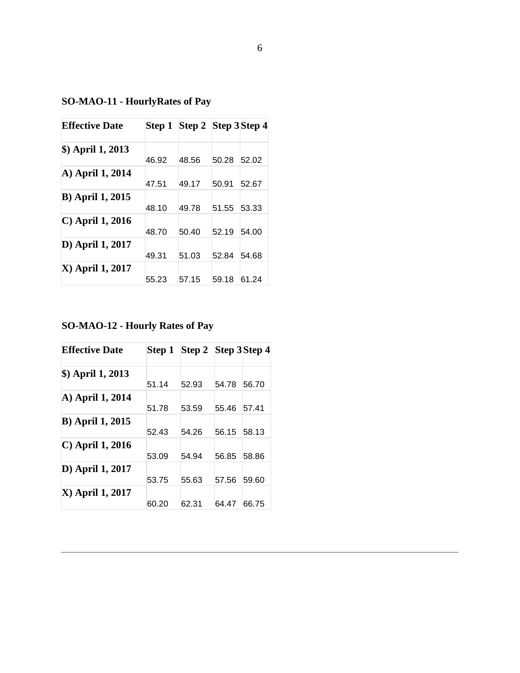**SO-MAO-11 - HourlyRates of Pay**

| <b>Effective Date</b>       |       | Step 1 Step 2 Step 3 Step 4 |       |       |
|-----------------------------|-------|-----------------------------|-------|-------|
| \$) April 1, 2013           | 46.92 | 48.56                       | 50.28 | 52.02 |
| A) April 1, 2014            | 47.51 | 49.17                       | 50.91 | 52.67 |
| <b>B</b> ) April 1, 2015    | 48.10 | 49.78                       | 51.55 | 53.33 |
| $\mathbf C$ ) April 1, 2016 | 48.70 | 50.40                       | 52.19 | 54.00 |
| D) April 1, 2017            | 49.31 | 51.03                       | 52.84 | 54.68 |
| X) April 1, 2017            | 55.23 | 57.15                       | 59.18 | 61.24 |

## **SO-MAO-12 - Hourly Rates of Pay**

| <b>Effective Date</b>       | Step 1 | Step 2 Step 3 Step 4 |       |       |
|-----------------------------|--------|----------------------|-------|-------|
| \$) April 1, 2013           |        |                      |       |       |
|                             | 51.14  | 52.93                | 54.78 | 56.70 |
| A) April 1, 2014            |        |                      |       |       |
|                             | 51.78  | 53.59                | 55.46 | 57.41 |
| <b>B</b> ) April 1, 2015    |        |                      |       |       |
|                             | 52.43  | 54.26                | 56.15 | 58.13 |
| $\mathbf C$ ) April 1, 2016 |        |                      |       |       |
|                             | 53.09  | 54.94                | 56.85 | 58.86 |
| D) April 1, 2017            |        |                      |       |       |
|                             | 53.75  | 55.63                | 57.56 | 59.60 |
| X) April 1, 2017            |        |                      |       |       |
|                             | 60.20  | 62.31                | 64.47 | 66.75 |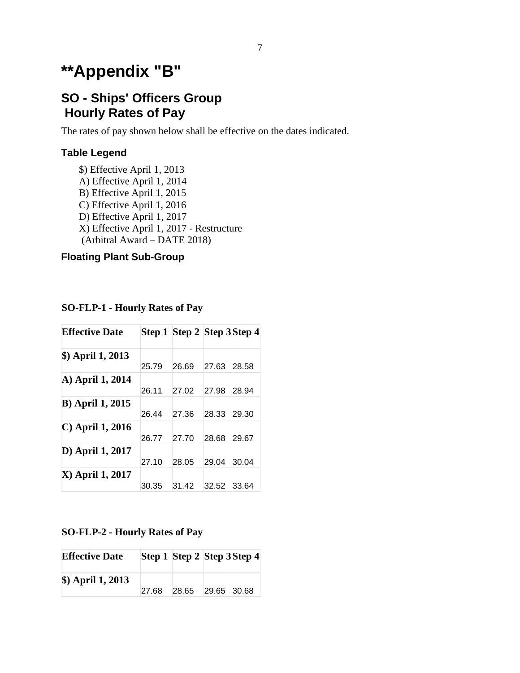# **\*\*Appendix "B"**

# **SO - Ships' Officers Group Hourly Rates of Pay**

The rates of pay shown below shall be effective on the dates indicated.

### **Table Legend**

\$) Effective April 1, 2013 A) Effective April 1, 2014 B) Effective April 1, 2015 C) Effective April 1, 2016 D) Effective April 1, 2017 X) Effective April 1, 2017 - Restructure (Arbitral Award – DATE 2018)

### **Floating Plant Sub-Group**

**SO-FLP-1 - Hourly Rates of Pay**

| <b>Effective Date</b>    |       | Step 1 Step 2 Step 3 Step 4 |       |       |
|--------------------------|-------|-----------------------------|-------|-------|
| \$) April 1, 2013        | 25.79 | 26.69                       | 27.63 | 28.58 |
| A) April 1, 2014         | 26.11 | 27.02                       | 27.98 | 28.94 |
| <b>B</b> ) April 1, 2015 | 26.44 | 27.36                       | 28.33 | 29.30 |
| C) April 1, 2016         | 26.77 | 27.70                       | 28.68 | 29.67 |
| D) April 1, 2017         | 27.10 | 28.05                       | 29.04 | 30.04 |
| <b>X</b> ) April 1, 2017 | 30.35 | 31.42                       | 32.52 | 33.64 |

#### **SO-FLP-2 - Hourly Rates of Pay**

| <b>Effective Date</b> |       | Step 1 Step 2 Step 3 Step 4 |  |
|-----------------------|-------|-----------------------------|--|
| $$)$ April 1, 2013    | 27.68 | 28.65 29.65 30.68           |  |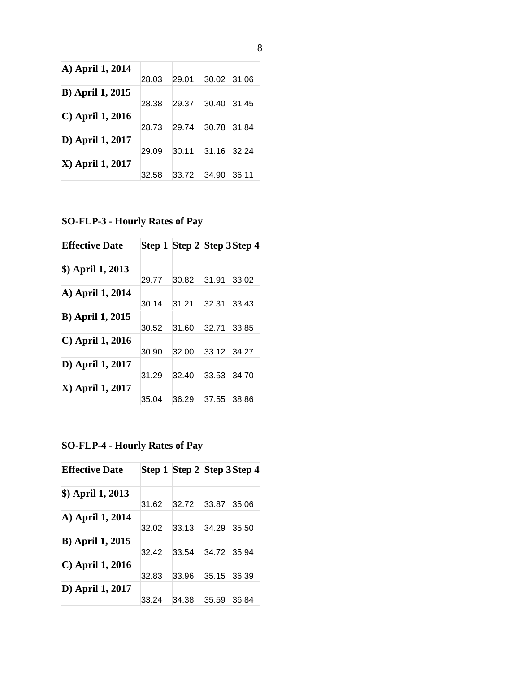| A) April 1, 2014         | 28.03 | 29.01 | 30.02 | 31.06 |
|--------------------------|-------|-------|-------|-------|
| <b>B</b> ) April 1, 2015 | 28.38 | 29.37 | 30.40 | 31.45 |
| $\vert$ C) April 1, 2016 | 28.73 | 29.74 | 30.78 | 31.84 |
| D) April 1, 2017         | 29.09 | 30.11 | 31.16 | 32.24 |
| <b>X</b> ) April 1, 2017 | 32.58 | 33.72 | 34.90 | 36.11 |

**SO-FLP-3 - Hourly Rates of Pay**

| <b>Effective Date</b>    |       | Step 1 Step 2 Step 3 Step 4 |       |       |
|--------------------------|-------|-----------------------------|-------|-------|
| \$) April 1, 2013        |       |                             |       |       |
|                          | 29.77 | 30.82                       | 31.91 | 33.02 |
| A) April 1, 2014         | 30.14 | 31.21                       | 32.31 | 33.43 |
| <b>B</b> ) April 1, 2015 | 30.52 | 31.60                       | 32.71 | 33.85 |
| C) April 1, 2016         |       |                             |       |       |
|                          | 30.90 | 32.00                       | 33.12 | 34.27 |
| D) April 1, 2017         |       |                             |       |       |
|                          | 31.29 | 32.40                       | 33.53 | 34.70 |
| X) April 1, 2017         |       |                             |       |       |
|                          | 35.04 | 36.29                       | 37.55 | 38.86 |

**SO-FLP-4 - Hourly Rates of Pay**

| <b>Effective Date</b>       |       | Step 1 Step 2 Step 3 Step 4 |       |       |
|-----------------------------|-------|-----------------------------|-------|-------|
| \$) April 1, 2013           | 31.62 | 32.72                       | 33.87 | 35.06 |
| A) April 1, 2014            | 32.02 | 33.13                       | 34.29 | 35.50 |
| <b>B</b> ) April 1, 2015    | 32.42 | 33.54                       | 34.72 | 35.94 |
| $\mathbf C$ ) April 1, 2016 | 32.83 | 33.96                       | 35.15 | 36.39 |
| D) April 1, 2017            | 33.24 | 34.38                       | 35.59 | 36.84 |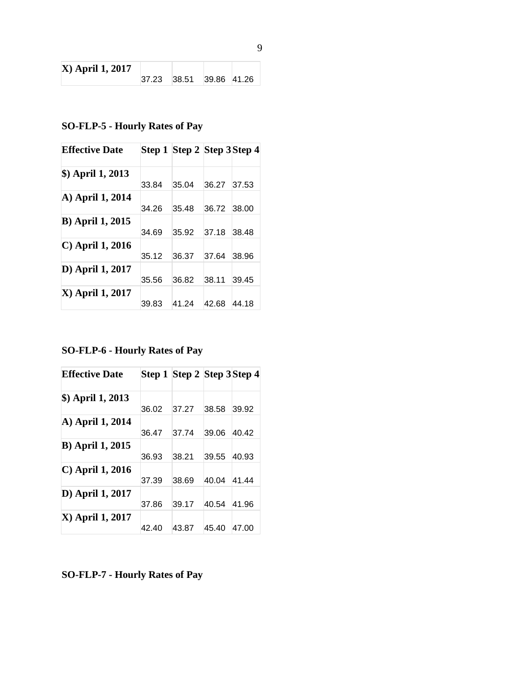| <b>X</b> ) April 1, 2017 |                         |  |  |
|--------------------------|-------------------------|--|--|
|                          | 37.23 38.51 39.86 41.26 |  |  |

## **SO-FLP-5 - Hourly Rates of Pay**

| <b>Effective Date</b>       |       | Step 1 Step 2 Step 3 Step 4 |       |       |
|-----------------------------|-------|-----------------------------|-------|-------|
| \$) April 1, 2013           |       |                             |       |       |
|                             | 33.84 | 35.04                       | 36.27 | 37.53 |
| A) April 1, 2014            |       |                             |       |       |
|                             | 34.26 | 35.48                       | 36.72 | 38.00 |
| <b>B</b> ) April 1, 2015    |       |                             |       |       |
|                             | 34.69 | 35.92                       | 37.18 | 38.48 |
| $\mathbf C$ ) April 1, 2016 |       |                             |       |       |
|                             | 35.12 | 36.37                       | 37.64 | 38.96 |
| D) April 1, 2017            |       |                             |       |       |
|                             | 35.56 | 36.82                       | 38.11 | 39.45 |
| X) April 1, 2017            |       |                             |       |       |
|                             | 39.83 | 41.24                       | 42.68 | 44.18 |

**SO-FLP-6 - Hourly Rates of Pay**

| <b>Effective Date</b>       |       | Step 1 Step 2 Step 3 Step 4 |       |       |
|-----------------------------|-------|-----------------------------|-------|-------|
| \$) April 1, 2013           |       |                             |       |       |
|                             | 36.02 | 37.27                       | 38.58 | 39.92 |
| A) April 1, 2014            |       |                             |       |       |
|                             | 36.47 | 37.74                       | 39.06 | 40.42 |
| <b>B</b> ) April 1, 2015    |       |                             |       |       |
|                             | 36.93 | 38.21                       | 39.55 | 40.93 |
| $\mathbf C$ ) April 1, 2016 |       |                             |       |       |
|                             | 37.39 | 38.69                       | 40.04 | 41.44 |
| D) April 1, 2017            |       |                             |       |       |
|                             | 37.86 | 39.17                       | 40.54 | 41.96 |
| <b>X</b> ) April 1, 2017    |       |                             |       |       |
|                             | 42.40 | 43.87                       | 45.40 | 47.00 |

**SO-FLP-7 - Hourly Rates of Pay**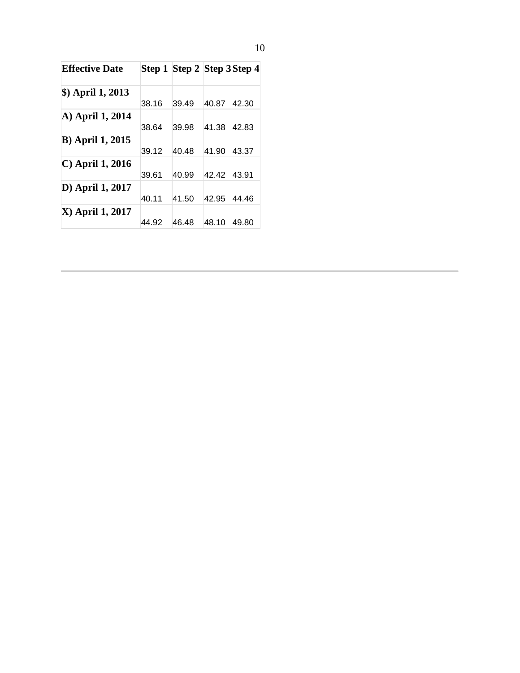| <b>Effective Date</b>    |       | Step 1 Step 2 Step 3 Step 4 |       |       |
|--------------------------|-------|-----------------------------|-------|-------|
| \$) April 1, 2013        |       |                             |       |       |
|                          | 38.16 | 39.49                       | 40.87 | 42.30 |
| A) April 1, 2014         |       |                             |       |       |
|                          | 38.64 | 39.98                       | 41.38 | 42.83 |
| <b>B</b> ) April 1, 2015 |       |                             |       |       |
|                          | 39.12 | 40.48                       | 41.90 | 43.37 |
| C) April 1, 2016         |       |                             |       |       |
|                          | 39.61 | 40.99                       | 42.42 | 43.91 |
| D) April 1, 2017         |       |                             |       |       |
|                          | 40.11 | 41.50                       | 42.95 | 44.46 |
| X) April 1, 2017         |       |                             |       |       |
|                          | 44.92 | 46.48                       | 48.10 | 49.80 |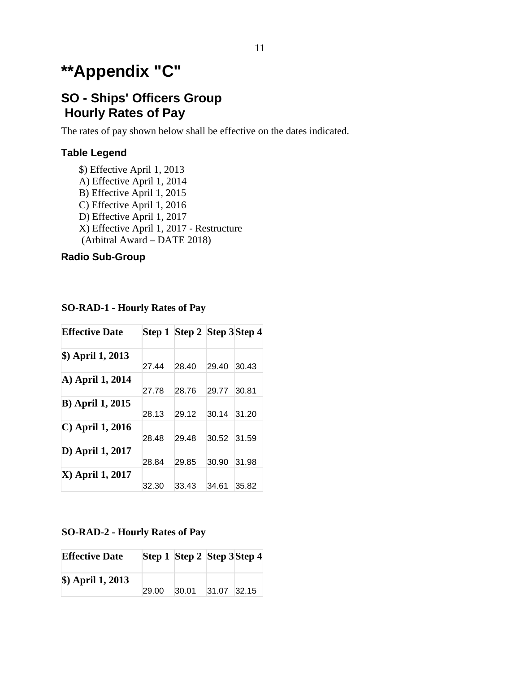# **\*\*Appendix "C"**

# **SO - Ships' Officers Group Hourly Rates of Pay**

The rates of pay shown below shall be effective on the dates indicated.

### **Table Legend**

\$) Effective April 1, 2013 A) Effective April 1, 2014 B) Effective April 1, 2015 C) Effective April 1, 2016 D) Effective April 1, 2017 X) Effective April 1, 2017 - Restructure (Arbitral Award – DATE 2018)

### **Radio Sub-Group**

**SO-RAD-1 - Hourly Rates of Pay**

| <b>Effective Date</b>       |       | Step 1 Step 2 Step 3 Step 4 |       |       |
|-----------------------------|-------|-----------------------------|-------|-------|
| \$) April 1, 2013           |       |                             |       |       |
|                             | 27.44 | 28.40                       | 29.40 | 30.43 |
| A) April 1, 2014            |       |                             |       |       |
|                             | 27.78 | 28.76                       | 29.77 | 30.81 |
| <b>B</b> ) April 1, 2015    |       |                             |       |       |
|                             | 28.13 | 29.12                       | 30.14 | 31.20 |
| $\mathbf C$ ) April 1, 2016 |       |                             |       |       |
|                             | 28.48 | 29.48                       | 30.52 | 31.59 |
| D) April 1, 2017            |       |                             |       |       |
|                             | 28.84 | 29.85                       | 30.90 | 31.98 |
| <b>X</b> ) April 1, 2017    |       |                             |       |       |
|                             | 32.30 | 33.43                       | 34.61 | 35.82 |

#### **SO-RAD-2 - Hourly Rates of Pay**

| <b>Effective Date</b> |       | Step 1 Step 2 Step 3 Step 4 |             |  |
|-----------------------|-------|-----------------------------|-------------|--|
| $$)$ April 1, 2013    | 29.00 | 30.01                       | 31.07 32.15 |  |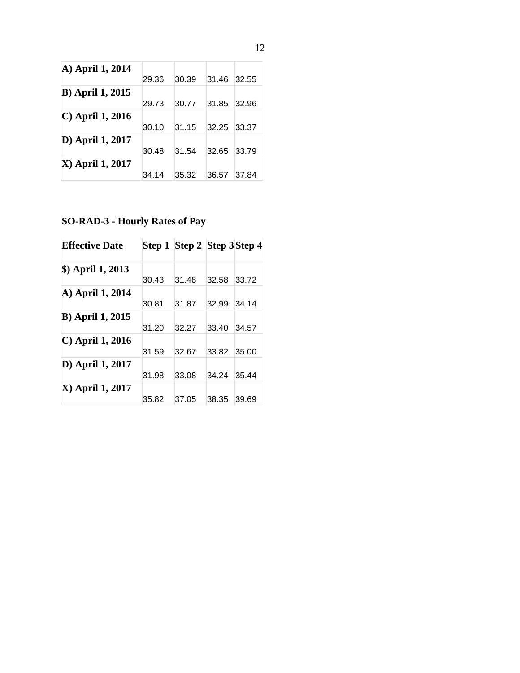| A) April 1, 2014            | 29.36 | 30.39 | 31.46 | 32.55 |
|-----------------------------|-------|-------|-------|-------|
| <b>B</b> ) April 1, 2015    | 29.73 | 30.77 | 31.85 | 32.96 |
| $\mathcal{C}$ April 1, 2016 | 30.10 | 31.15 | 32.25 | 33.37 |
| D) April 1, 2017            | 30.48 | 31.54 | 32.65 | 33.79 |
| <b>X</b> ) April 1, 2017    | 34.14 | 35.32 | 36.57 | 37.84 |

**SO-RAD-3 - Hourly Rates of Pay**

| <b>Effective Date</b>       |       | Step 1 Step 2 Step 3 Step 4 |       |       |
|-----------------------------|-------|-----------------------------|-------|-------|
| \$) April 1, 2013           |       |                             |       |       |
|                             | 30.43 | 31.48                       | 32.58 | 33.72 |
| A) April 1, 2014            | 30.81 | 31.87                       | 32.99 | 34.14 |
| <b>B</b> ) April 1, 2015    | 31.20 | 32.27                       | 33.40 | 34.57 |
| $\mathbf C$ ) April 1, 2016 | 31.59 | 32.67                       | 33.82 | 35.00 |
| D) April 1, 2017            | 31.98 | 33.08                       | 34.24 | 35.44 |
| X) April 1, 2017            | 35.82 | 37.05                       | 38.35 | 39.69 |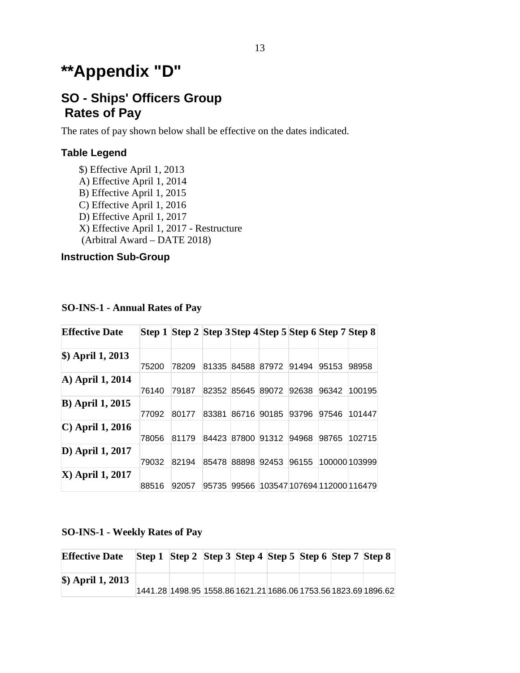# **\*\*Appendix "D"**

# **SO - Ships' Officers Group Rates of Pay**

The rates of pay shown below shall be effective on the dates indicated.

### **Table Legend**

\$) Effective April 1, 2013 A) Effective April 1, 2014 B) Effective April 1, 2015 C) Effective April 1, 2016 D) Effective April 1, 2017 X) Effective April 1, 2017 - Restructure (Arbitral Award – DATE 2018)

### **Instruction Sub-Group**

| <b>Effective Date</b>    |       | Step 1 Step 2 Step 3 Step 4 Step 5 Step 6 Step 7 Step 8 |       |             |       |       |       |                             |
|--------------------------|-------|---------------------------------------------------------|-------|-------------|-------|-------|-------|-----------------------------|
| \$) April 1, 2013        | 75200 | 78209                                                   | 81335 | 84588 87972 |       | 91494 | 95153 | 98958                       |
| A) April 1, 2014         | 76140 | 79187                                                   | 82352 | 85645 89072 |       | 92638 | 96342 | 100195                      |
| <b>B</b> ) April 1, 2015 | 77092 | 80177                                                   | 83381 | 86716       | 90185 | 93796 | 97546 | 101447                      |
| $\vert$ C) April 1, 2016 | 78056 | 81179                                                   | 84423 | 87800       | 91312 | 94968 | 98765 | 102715                      |
| D) April 1, 2017         | 79032 | 82194                                                   | 85478 | 88898       | 92453 | 96155 |       | 100000 103999               |
| <b>X</b> ) April 1, 2017 | 88516 | 92057                                                   | 95735 | 99566       |       |       |       | 103547 107694 112000 116479 |

**SO-INS-1 - Annual Rates of Pay**

### **SO-INS-1 - Weekly Rates of Pay**

| <b>Effective Date</b>  | Step 1 Step 2 Step 3 Step 4 Step 5 Step 6 Step 7 Step 8         |  |  |  |
|------------------------|-----------------------------------------------------------------|--|--|--|
| $\angle$ April 1, 2013 | 1441.28 1498.95 1558.86 1621.21 1686.06 1753.56 1823.69 1896.62 |  |  |  |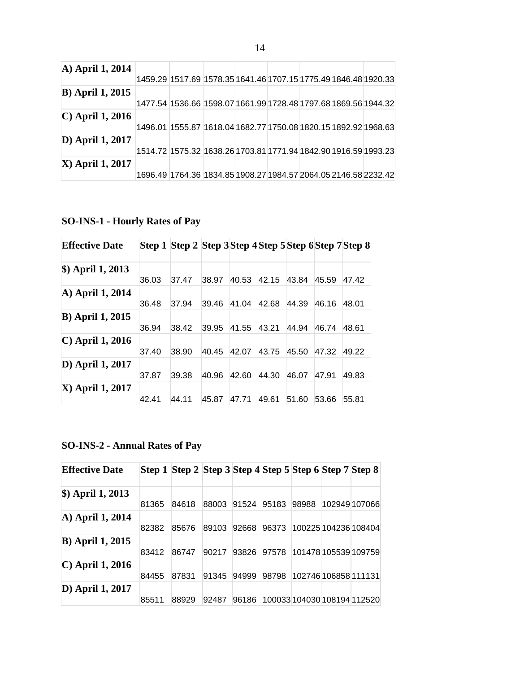| A) April 1, 2014            | 1459.29 1517.69 1578.35 1641.46 1707.15 1775.49 1846.48 1920.33 |  |  |                                                                 |
|-----------------------------|-----------------------------------------------------------------|--|--|-----------------------------------------------------------------|
| <b>B</b> ) April 1, 2015    |                                                                 |  |  | 1477.54 1536.66 1598.07 1661.99 1728.48 1797.68 1869.56 1944.32 |
| $\mathcal{C}$ April 1, 2016 | 1496.01 1555.87 1618.04 1682.77 1750.08 1820.15 1892.92 1968.63 |  |  |                                                                 |
| D) April 1, 2017            | 1514.72 1575.32 1638.26 1703.81 1771.94 1842.90 1916.59 1993.23 |  |  |                                                                 |
| <b>X</b> ) April 1, 2017    |                                                                 |  |  | 1696.49 1764.36 1834.85 1908.27 1984.57 2064.05 2146.58 2232.42 |

**SO-INS-1 - Hourly Rates of Pay**

| <b>Effective Date</b>     |       | Step 1 Step 2 Step 3 Step 4 Step 5 Step 6 Step 7 Step 8 |       |       |       |       |       |       |
|---------------------------|-------|---------------------------------------------------------|-------|-------|-------|-------|-------|-------|
| $$)$ April 1, 2013        | 36.03 | 37.47                                                   | 38.97 | 40.53 | 42.15 | 43.84 | 45.59 | 47.42 |
| A) April 1, 2014          | 36.48 | 37.94                                                   | 39.46 | 41.04 | 42.68 | 44.39 | 46.16 | 48.01 |
| <b>B</b> ) April 1, 2015  | 36.94 | 38.42                                                   | 39.95 | 41.55 | 43.21 | 44.94 | 46.74 | 48.61 |
| $\mathbf C$ April 1, 2016 | 37.40 | 38.90                                                   | 40.45 | 42.07 | 43.75 | 45.50 | 47.32 | 49.22 |
| D) April 1, 2017          | 37.87 | 39.38                                                   | 40.96 | 42.60 | 44.30 | 46.07 | 47.91 | 49.83 |
| <b>X</b> ) April 1, 2017  | 42.41 | 44.11                                                   | 45.87 | 47.71 | 49.61 | 51.60 | 53.66 | 55.81 |

## **SO-INS-2 - Annual Rates of Pay**

| <b>Effective Date</b>     |       | Step 1 Step 2 Step 3 Step 4 Step 5 Step 6 Step 7 Step 8 |       |       |       |       |                             |
|---------------------------|-------|---------------------------------------------------------|-------|-------|-------|-------|-----------------------------|
| $$)$ April 1, 2013        | 81365 | 84618                                                   | 88003 | 91524 | 95183 | 98988 | 102949107066                |
| A) April 1, 2014          | 82382 | 85676                                                   | 89103 | 92668 | 96373 |       | 100225 104236 108404        |
| <b>B</b> ) April 1, 2015  | 83412 | 86747                                                   | 90217 | 93826 | 97578 |       | 101478 105539 109759        |
| $\mathbf C$ April 1, 2016 | 84455 | 87831                                                   | 91345 | 94999 | 98798 |       | 102746 106858 111131        |
| D) April 1, 2017          | 85511 | 88929                                                   | 92487 | 96186 |       |       | 100033 104030 108194 112520 |